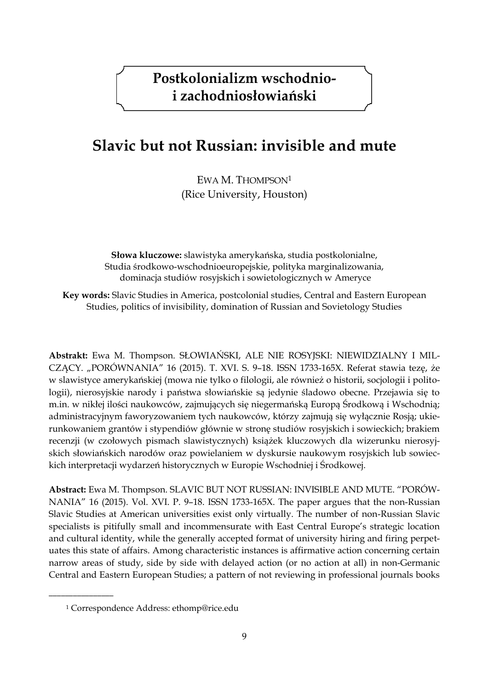# **Slavic but not Russian: invisible and mute**

EWA M. THOMPSON<sup>1</sup> (Rice University, Houston)

**Słowa kluczowe:** slawistyka amerykańska, studia postkolonialne, Studia środkowo-wschodnioeuropejskie, polityka marginalizowania, dominacja studiów rosyjskich i sowietologicznych w Ameryce

**Key words:** Slavic Studies in America, postcolonial studies, Central and Eastern European Studies, politics of invisibility, domination of Russian and Sovietology Studies

**Abstrakt:** Ewa M. Thompson. SŁOWIAŃSKI, ALE NIE ROSYJSKI: NIEWIDZIALNY I MIL-CZĄCY. "PORÓWNANIA" 16 (2015). T. XVI. S. 9–18. ISSN 1733-165X. Referat stawia tezę, że w slawistyce amerykańskiej (mowa nie tylko o filologii, ale również o historii, socjologii i politologii), nierosyjskie narody i państwa słowiańskie są jedynie śladowo obecne. Przejawia się to m.in. w nikłej ilości naukowców, zajmujących się niegermańską Europą Środkową i Wschodnią; administracyjnym faworyzowaniem tych naukowców, którzy zajmują się wyłącznie Rosją; ukierunkowaniem grantów i stypendiów głównie w stronę studiów rosyjskich i sowieckich; brakiem recenzji (w czołowych pismach slawistycznych) książek kluczowych dla wizerunku nierosyjskich słowiańskich narodów oraz powielaniem w dyskursie naukowym rosyjskich lub sowieckich interpretacji wydarzeń historycznych w Europie Wschodniej i Środkowej.

**Abstract:** Ewa M. Thompson. SLAVIC BUT NOT RUSSIAN: INVISIBLE AND MUTE. "PORÓW-NANIA" 16 (2015). Vol. XVI. P. 9–18. ISSN 1733-165X. The paper argues that the non-Russian Slavic Studies at American universities exist only virtually. The number of non-Russian Slavic specialists is pitifully small and incommensurate with East Central Europe's strategic location and cultural identity, while the generally accepted format of university hiring and firing perpetuates this state of affairs. Among characteristic instances is affirmative action concerning certain narrow areas of study, side by side with delayed action (or no action at all) in non-Germanic Central and Eastern European Studies; a pattern of not reviewing in professional journals books

<sup>1</sup> Correspondence Address: ethomp@rice.edu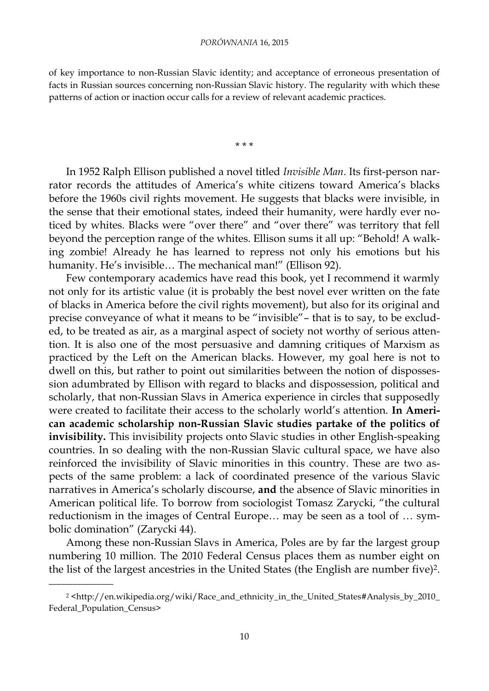#### *PORÓWNANIA* 16, 2015

of key importance to non-Russian Slavic identity; and acceptance of erroneous presentation of facts in Russian sources concerning non-Russian Slavic history. The regularity with which these patterns of action or inaction occur calls for a review of relevant academic practices.

\* \* \*

In 1952 Ralph Ellison published a novel titled *Invisible Man*. Its first-person narrator records the attitudes of America's white citizens toward America's blacks before the 1960s civil rights movement. He suggests that blacks were invisible, in the sense that their emotional states, indeed their humanity, were hardly ever noticed by whites. Blacks were "over there" and "over there" was territory that fell beyond the perception range of the whites. Ellison sums it all up: "Behold! A walking zombie! Already he has learned to repress not only his emotions but his humanity. He's invisible… The mechanical man!" (Ellison 92).

Few contemporary academics have read this book, yet I recommend it warmly not only for its artistic value (it is probably the best novel ever written on the fate of blacks in America before the civil rights movement), but also for its original and precise conveyance of what it means to be "invisible"– that is to say, to be excluded, to be treated as air, as a marginal aspect of society not worthy of serious attention. It is also one of the most persuasive and damning critiques of Marxism as practiced by the Left on the American blacks. However, my goal here is not to dwell on this, but rather to point out similarities between the notion of dispossession adumbrated by Ellison with regard to blacks and dispossession, political and scholarly, that non-Russian Slavs in America experience in circles that supposedly were created to facilitate their access to the scholarly world's attention. **In American academic scholarship non-Russian Slavic studies partake of the politics of invisibility.** This invisibility projects onto Slavic studies in other English-speaking countries. In so dealing with the non-Russian Slavic cultural space, we have also reinforced the invisibility of Slavic minorities in this country. These are two aspects of the same problem: a lack of coordinated presence of the various Slavic narratives in America's scholarly discourse, **and** the absence of Slavic minorities in American political life. To borrow from sociologist Tomasz Zarycki, "the cultural reductionism in the images of Central Europe… may be seen as a tool of … symbolic domination" (Zarycki 44).

Among these non-Russian Slavs in America, Poles are by far the largest group numbering 10 million. The 2010 Federal Census places them as number eight on the list of the largest ancestries in the United States (the English are number five)2.

<sup>2</sup> <http://en.wikipedia.org/wiki/Race\_and\_ethnicity\_in\_the\_United\_States#Analysis\_by\_2010\_ Federal\_Population\_Census>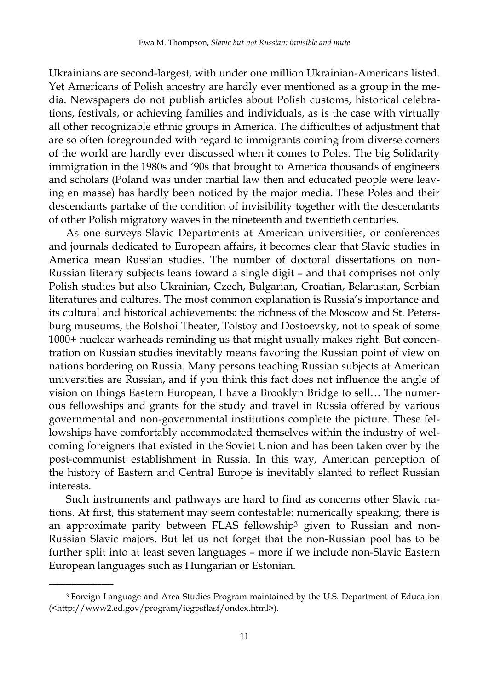Ukrainians are second-largest, with under one million Ukrainian-Americans listed. Yet Americans of Polish ancestry are hardly ever mentioned as a group in the media. Newspapers do not publish articles about Polish customs, historical celebrations, festivals, or achieving families and individuals, as is the case with virtually all other recognizable ethnic groups in America. The difficulties of adjustment that are so often foregrounded with regard to immigrants coming from diverse corners of the world are hardly ever discussed when it comes to Poles. The big Solidarity immigration in the 1980s and '90s that brought to America thousands of engineers and scholars (Poland was under martial law then and educated people were leaving en masse) has hardly been noticed by the major media. These Poles and their descendants partake of the condition of invisibility together with the descendants of other Polish migratory waves in the nineteenth and twentieth centuries.

As one surveys Slavic Departments at American universities, or conferences and journals dedicated to European affairs, it becomes clear that Slavic studies in America mean Russian studies. The number of doctoral dissertations on non-Russian literary subjects leans toward a single digit – and that comprises not only Polish studies but also Ukrainian, Czech, Bulgarian, Croatian, Belarusian, Serbian literatures and cultures. The most common explanation is Russia's importance and its cultural and historical achievements: the richness of the Moscow and St. Petersburg museums, the Bolshoi Theater, Tolstoy and Dostoevsky, not to speak of some 1000+ nuclear warheads reminding us that might usually makes right. But concentration on Russian studies inevitably means favoring the Russian point of view on nations bordering on Russia. Many persons teaching Russian subjects at American universities are Russian, and if you think this fact does not influence the angle of vision on things Eastern European, I have a Brooklyn Bridge to sell… The numerous fellowships and grants for the study and travel in Russia offered by various governmental and non-governmental institutions complete the picture. These fellowships have comfortably accommodated themselves within the industry of welcoming foreigners that existed in the Soviet Union and has been taken over by the post-communist establishment in Russia. In this way, American perception of the history of Eastern and Central Europe is inevitably slanted to reflect Russian interests.

Such instruments and pathways are hard to find as concerns other Slavic nations. At first, this statement may seem contestable: numerically speaking, there is an approximate parity between FLAS fellowship<sup>3</sup> given to Russian and non-Russian Slavic majors. But let us not forget that the non-Russian pool has to be further split into at least seven languages – more if we include non-Slavic Eastern European languages such as Hungarian or Estonian.

<sup>3</sup> Foreign Language and Area Studies Program maintained by the U.S. Department of Education (<http://www2.ed.gov/program/iegpsflasf/ondex.html>).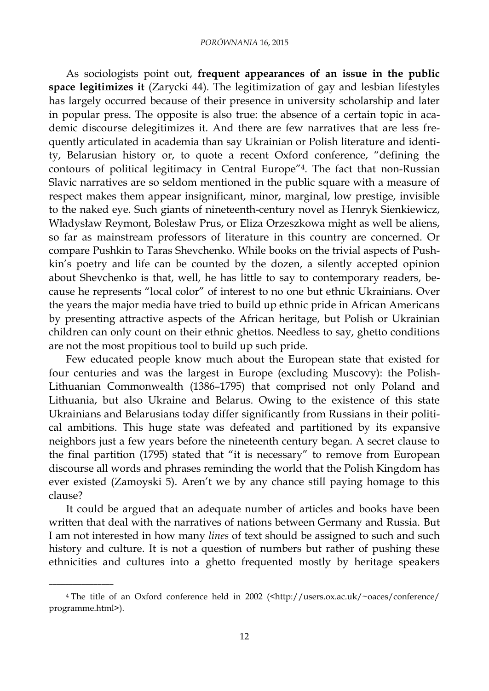As sociologists point out, **frequent appearances of an issue in the public space legitimizes it** (Zarycki 44). The legitimization of gay and lesbian lifestyles has largely occurred because of their presence in university scholarship and later in popular press. The opposite is also true: the absence of a certain topic in academic discourse delegitimizes it. And there are few narratives that are less frequently articulated in academia than say Ukrainian or Polish literature and identity, Belarusian history or, to quote a recent Oxford conference, "defining the contours of political legitimacy in Central Europe"4. The fact that non-Russian Slavic narratives are so seldom mentioned in the public square with a measure of respect makes them appear insignificant, minor, marginal, low prestige, invisible to the naked eye. Such giants of nineteenth-century novel as Henryk Sienkiewicz, Władysław Reymont, Bolesław Prus, or Eliza Orzeszkowa might as well be aliens, so far as mainstream professors of literature in this country are concerned. Or compare Pushkin to Taras Shevchenko. While books on the trivial aspects of Pushkin's poetry and life can be counted by the dozen, a silently accepted opinion about Shevchenko is that, well, he has little to say to contemporary readers, because he represents "local color" of interest to no one but ethnic Ukrainians. Over the years the major media have tried to build up ethnic pride in African Americans by presenting attractive aspects of the African heritage, but Polish or Ukrainian children can only count on their ethnic ghettos. Needless to say, ghetto conditions are not the most propitious tool to build up such pride.

Few educated people know much about the European state that existed for four centuries and was the largest in Europe (excluding Muscovy): the Polish-Lithuanian Commonwealth (1386–1795) that comprised not only Poland and Lithuania, but also Ukraine and Belarus. Owing to the existence of this state Ukrainians and Belarusians today differ significantly from Russians in their political ambitions. This huge state was defeated and partitioned by its expansive neighbors just a few years before the nineteenth century began. A secret clause to the final partition (1795) stated that "it is necessary" to remove from European discourse all words and phrases reminding the world that the Polish Kingdom has ever existed (Zamoyski 5). Aren't we by any chance still paying homage to this clause?

It could be argued that an adequate number of articles and books have been written that deal with the narratives of nations between Germany and Russia. But I am not interested in how many *lines* of text should be assigned to such and such history and culture. It is not a question of numbers but rather of pushing these ethnicities and cultures into a ghetto frequented mostly by heritage speakers

<sup>4</sup> The title of an Oxford conference held in 2002 (<http://users.ox.ac.uk/~oaces/conference/ programme.html>).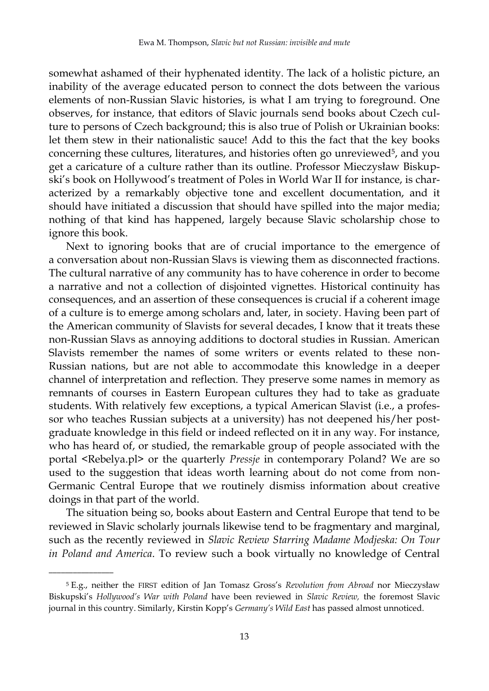somewhat ashamed of their hyphenated identity. The lack of a holistic picture, an inability of the average educated person to connect the dots between the various elements of non-Russian Slavic histories, is what I am trying to foreground. One observes, for instance, that editors of Slavic journals send books about Czech culture to persons of Czech background; this is also true of Polish or Ukrainian books: let them stew in their nationalistic sauce! Add to this the fact that the key books concerning these cultures, literatures, and histories often go unreviewed<sup>5</sup>, and you get a caricature of a culture rather than its outline. Professor Mieczysław Biskupski's book on Hollywood's treatment of Poles in World War II for instance, is characterized by a remarkably objective tone and excellent documentation, and it should have initiated a discussion that should have spilled into the major media; nothing of that kind has happened, largely because Slavic scholarship chose to ignore this book.

Next to ignoring books that are of crucial importance to the emergence of a conversation about non-Russian Slavs is viewing them as disconnected fractions. The cultural narrative of any community has to have coherence in order to become a narrative and not a collection of disjointed vignettes. Historical continuity has consequences, and an assertion of these consequences is crucial if a coherent image of a culture is to emerge among scholars and, later, in society. Having been part of the American community of Slavists for several decades, I know that it treats these non-Russian Slavs as annoying additions to doctoral studies in Russian. American Slavists remember the names of some writers or events related to these non-Russian nations, but are not able to accommodate this knowledge in a deeper channel of interpretation and reflection. They preserve some names in memory as remnants of courses in Eastern European cultures they had to take as graduate students. With relatively few exceptions, a typical American Slavist (i.e., a professor who teaches Russian subjects at a university) has not deepened his/her postgraduate knowledge in this field or indeed reflected on it in any way. For instance, who has heard of, or studied, the remarkable group of people associated with the portal <Rebelya.pl> or the quarterly *Pressje* in contemporary Poland? We are so used to the suggestion that ideas worth learning about do not come from non-Germanic Central Europe that we routinely dismiss information about creative doings in that part of the world.

The situation being so, books about Eastern and Central Europe that tend to be reviewed in Slavic scholarly journals likewise tend to be fragmentary and marginal, such as the recently reviewed in *Slavic Review Starring Madame Modjeska: On Tour in Poland and America*. To review such a book virtually no knowledge of Central

<sup>5</sup> E.g., neither the FIRST edition of Jan Tomasz Gross's *Revolution from Abroad* nor Mieczysław Biskupski's *Hollywood's War with Poland* have been reviewed in *Slavic Review,* the foremost Slavic journal in this country. Similarly, Kirstin Kopp's *Germany's Wild East* has passed almost unnoticed.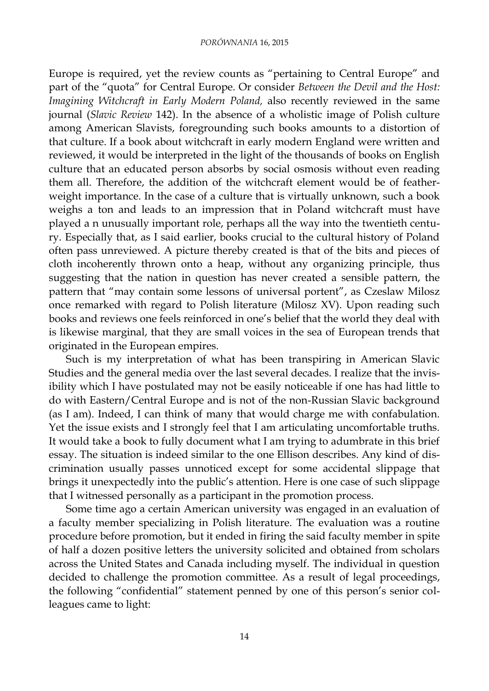Europe is required, yet the review counts as "pertaining to Central Europe" and part of the "quota" for Central Europe. Or consider *Between the Devil and the Host: Imagining Witchcraft in Early Modern Poland,* also recently reviewed in the same journal (*Slavic Review* 142). In the absence of a wholistic image of Polish culture among American Slavists, foregrounding such books amounts to a distortion of that culture. If a book about witchcraft in early modern England were written and reviewed, it would be interpreted in the light of the thousands of books on English culture that an educated person absorbs by social osmosis without even reading them all. Therefore, the addition of the witchcraft element would be of featherweight importance. In the case of a culture that is virtually unknown, such a book weighs a ton and leads to an impression that in Poland witchcraft must have played a n unusually important role, perhaps all the way into the twentieth century. Especially that, as I said earlier, books crucial to the cultural history of Poland often pass unreviewed. A picture thereby created is that of the bits and pieces of cloth incoherently thrown onto a heap, without any organizing principle, thus suggesting that the nation in question has never created a sensible pattern, the pattern that "may contain some lessons of universal portent", as Czeslaw Milosz once remarked with regard to Polish literature (Milosz XV). Upon reading such books and reviews one feels reinforced in one's belief that the world they deal with is likewise marginal, that they are small voices in the sea of European trends that originated in the European empires.

Such is my interpretation of what has been transpiring in American Slavic Studies and the general media over the last several decades. I realize that the invisibility which I have postulated may not be easily noticeable if one has had little to do with Eastern/Central Europe and is not of the non-Russian Slavic background (as I am). Indeed, I can think of many that would charge me with confabulation. Yet the issue exists and I strongly feel that I am articulating uncomfortable truths. It would take a book to fully document what I am trying to adumbrate in this brief essay. The situation is indeed similar to the one Ellison describes. Any kind of discrimination usually passes unnoticed except for some accidental slippage that brings it unexpectedly into the public's attention. Here is one case of such slippage that I witnessed personally as a participant in the promotion process.

Some time ago a certain American university was engaged in an evaluation of a faculty member specializing in Polish literature. The evaluation was a routine procedure before promotion, but it ended in firing the said faculty member in spite of half a dozen positive letters the university solicited and obtained from scholars across the United States and Canada including myself. The individual in question decided to challenge the promotion committee. As a result of legal proceedings, the following "confidential" statement penned by one of this person's senior colleagues came to light: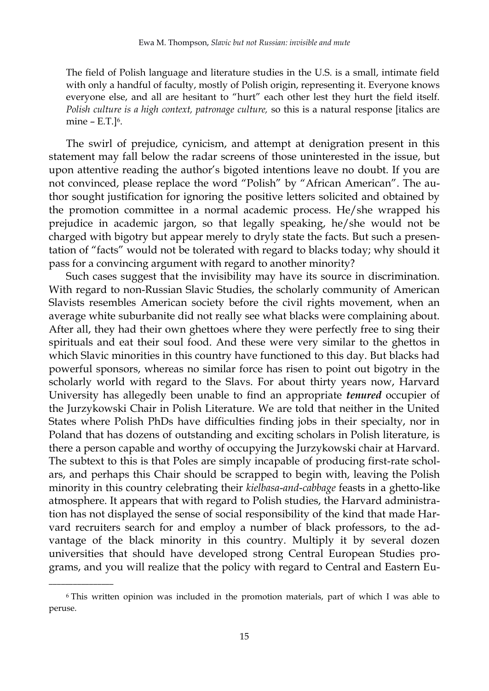The field of Polish language and literature studies in the U.S. is a small, intimate field with only a handful of faculty, mostly of Polish origin, representing it. Everyone knows everyone else, and all are hesitant to "hurt" each other lest they hurt the field itself. *Polish culture is a high context, patronage culture,* so this is a natural response [italics are mine – E.T.]<sup>6</sup>.

The swirl of prejudice, cynicism, and attempt at denigration present in this statement may fall below the radar screens of those uninterested in the issue, but upon attentive reading the author's bigoted intentions leave no doubt. If you are not convinced, please replace the word "Polish" by "African American". The author sought justification for ignoring the positive letters solicited and obtained by the promotion committee in a normal academic process. He/she wrapped his prejudice in academic jargon, so that legally speaking, he/she would not be charged with bigotry but appear merely to dryly state the facts. But such a presentation of "facts" would not be tolerated with regard to blacks today; why should it pass for a convincing argument with regard to another minority?

Such cases suggest that the invisibility may have its source in discrimination. With regard to non-Russian Slavic Studies, the scholarly community of American Slavists resembles American society before the civil rights movement, when an average white suburbanite did not really see what blacks were complaining about. After all, they had their own ghettoes where they were perfectly free to sing their spirituals and eat their soul food. And these were very similar to the ghettos in which Slavic minorities in this country have functioned to this day. But blacks had powerful sponsors, whereas no similar force has risen to point out bigotry in the scholarly world with regard to the Slavs. For about thirty years now, Harvard University has allegedly been unable to find an appropriate *tenured* occupier of the Jurzykowski Chair in Polish Literature. We are told that neither in the United States where Polish PhDs have difficulties finding jobs in their specialty, nor in Poland that has dozens of outstanding and exciting scholars in Polish literature, is there a person capable and worthy of occupying the Jurzykowski chair at Harvard. The subtext to this is that Poles are simply incapable of producing first-rate scholars, and perhaps this Chair should be scrapped to begin with, leaving the Polish minority in this country celebrating their *kielbasa*-*and*-*cabbage* feasts in a ghetto-like atmosphere. It appears that with regard to Polish studies, the Harvard administration has not displayed the sense of social responsibility of the kind that made Harvard recruiters search for and employ a number of black professors, to the advantage of the black minority in this country. Multiply it by several dozen universities that should have developed strong Central European Studies programs, and you will realize that the policy with regard to Central and Eastern Eu-

<sup>6</sup> This written opinion was included in the promotion materials, part of which I was able to peruse.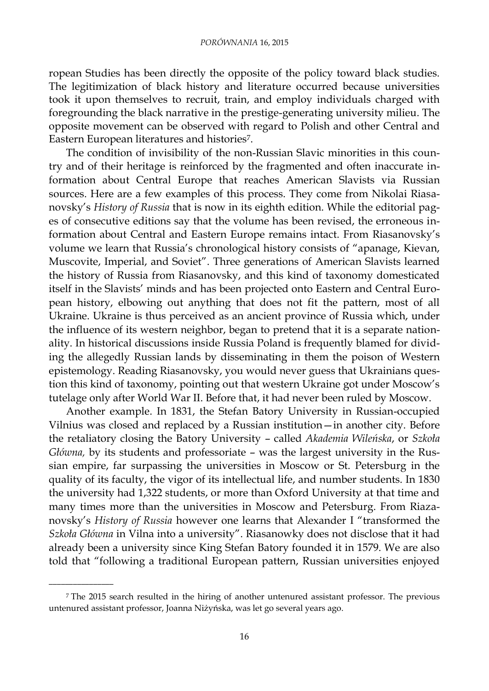ropean Studies has been directly the opposite of the policy toward black studies. The legitimization of black history and literature occurred because universities took it upon themselves to recruit, train, and employ individuals charged with foregrounding the black narrative in the prestige-generating university milieu. The opposite movement can be observed with regard to Polish and other Central and Eastern European literatures and histories7.

The condition of invisibility of the non-Russian Slavic minorities in this country and of their heritage is reinforced by the fragmented and often inaccurate information about Central Europe that reaches American Slavists via Russian sources. Here are a few examples of this process. They come from Nikolai Riasanovsky's *History of Russia* that is now in its eighth edition. While the editorial pages of consecutive editions say that the volume has been revised, the erroneous information about Central and Eastern Europe remains intact. From Riasanovsky's volume we learn that Russia's chronological history consists of "apanage, Kievan, Muscovite, Imperial, and Soviet". Three generations of American Slavists learned the history of Russia from Riasanovsky, and this kind of taxonomy domesticated itself in the Slavists' minds and has been projected onto Eastern and Central European history, elbowing out anything that does not fit the pattern, most of all Ukraine. Ukraine is thus perceived as an ancient province of Russia which, under the influence of its western neighbor, began to pretend that it is a separate nationality. In historical discussions inside Russia Poland is frequently blamed for dividing the allegedly Russian lands by disseminating in them the poison of Western epistemology. Reading Riasanovsky, you would never guess that Ukrainians question this kind of taxonomy, pointing out that western Ukraine got under Moscow's tutelage only after World War II. Before that, it had never been ruled by Moscow.

Another example. In 1831, the Stefan Batory University in Russian-occupied Vilnius was closed and replaced by a Russian institution—in another city. Before the retaliatory closing the Batory University – called *Akademia Wileńska*, or *Szkoła Główna,* by its students and professoriate – was the largest university in the Russian empire, far surpassing the universities in Moscow or St. Petersburg in the quality of its faculty, the vigor of its intellectual life, and number students. In 1830 the university had 1,322 students, or more than Oxford University at that time and many times more than the universities in Moscow and Petersburg. From Riazanovsky's *History of Russia* however one learns that Alexander I "transformed the *Szkoła Główna* in Vilna into a university". Riasanowky does not disclose that it had already been a university since King Stefan Batory founded it in 1579. We are also told that "following a traditional European pattern, Russian universities enjoyed

<sup>7</sup> The 2015 search resulted in the hiring of another untenured assistant professor. The previous untenured assistant professor, Joanna Niżyńska, was let go several years ago.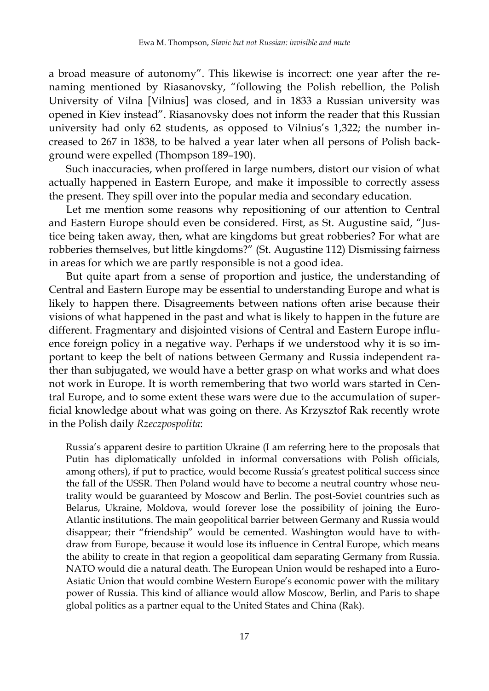a broad measure of autonomy". This likewise is incorrect: one year after the renaming mentioned by Riasanovsky, "following the Polish rebellion, the Polish University of Vilna [Vilnius] was closed, and in 1833 a Russian university was opened in Kiev instead". Riasanovsky does not inform the reader that this Russian university had only 62 students, as opposed to Vilnius's 1,322; the number increased to 267 in 1838, to be halved a year later when all persons of Polish background were expelled (Thompson 189–190).

Such inaccuracies, when proffered in large numbers, distort our vision of what actually happened in Eastern Europe, and make it impossible to correctly assess the present. They spill over into the popular media and secondary education.

Let me mention some reasons why repositioning of our attention to Central and Eastern Europe should even be considered. First, as St. Augustine said, "Justice being taken away, then, what are kingdoms but great robberies? For what are robberies themselves, but little kingdoms?" (St. Augustine 112) Dismissing fairness in areas for which we are partly responsible is not a good idea.

But quite apart from a sense of proportion and justice, the understanding of Central and Eastern Europe may be essential to understanding Europe and what is likely to happen there. Disagreements between nations often arise because their visions of what happened in the past and what is likely to happen in the future are different. Fragmentary and disjointed visions of Central and Eastern Europe influence foreign policy in a negative way. Perhaps if we understood why it is so important to keep the belt of nations between Germany and Russia independent rather than subjugated, we would have a better grasp on what works and what does not work in Europe. It is worth remembering that two world wars started in Central Europe, and to some extent these wars were due to the accumulation of superficial knowledge about what was going on there. As Krzysztof Rak recently wrote in the Polish daily *Rzeczpospolita*:

Russia's apparent desire to partition Ukraine (I am referring here to the proposals that Putin has diplomatically unfolded in informal conversations with Polish officials, among others), if put to practice, would become Russia's greatest political success since the fall of the USSR. Then Poland would have to become a neutral country whose neutrality would be guaranteed by Moscow and Berlin. The post-Soviet countries such as Belarus, Ukraine, Moldova, would forever lose the possibility of joining the Euro-Atlantic institutions. The main geopolitical barrier between Germany and Russia would disappear; their "friendship" would be cemented. Washington would have to withdraw from Europe, because it would lose its influence in Central Europe, which means the ability to create in that region a geopolitical dam separating Germany from Russia. NATO would die a natural death. The European Union would be reshaped into a Euro-Asiatic Union that would combine Western Europe's economic power with the military power of Russia. This kind of alliance would allow Moscow, Berlin, and Paris to shape global politics as a partner equal to the United States and China (Rak).